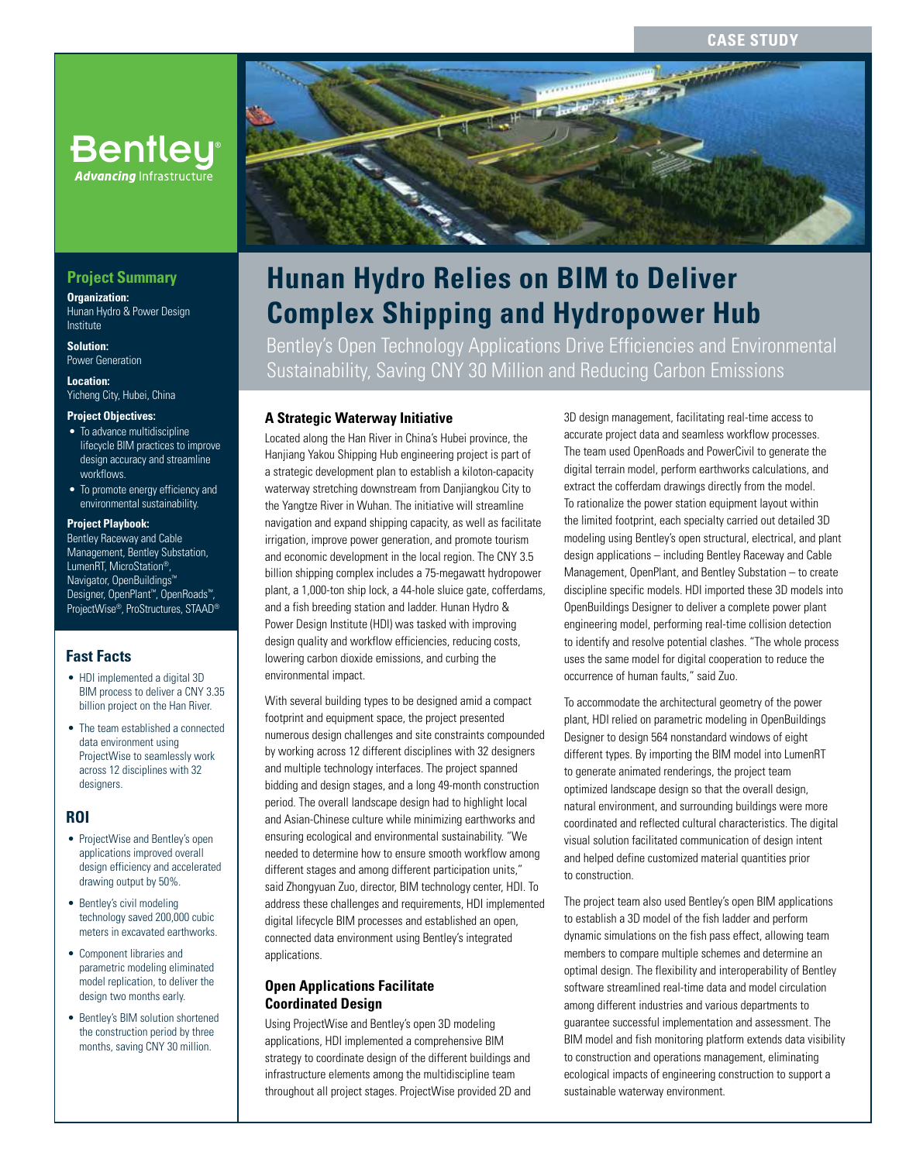## **CASE STUDY**



# **Hunan Hydro Relies on BIM to Deliver Complex Shipping and Hydropower Hub**

Bentley's Open Technology Applications Drive Efficiencies and Environmental Sustainability, Saving CNY 30 Million and Reducing Carbon Emissions

## **A Strategic Waterway Initiative**

Located along the Han River in China's Hubei province, the Hanjiang Yakou Shipping Hub engineering project is part of a strategic development plan to establish a kiloton-capacity waterway stretching downstream from Danjiangkou City to the Yangtze River in Wuhan. The initiative will streamline navigation and expand shipping capacity, as well as facilitate irrigation, improve power generation, and promote tourism and economic development in the local region. The CNY 3.5 billion shipping complex includes a 75-megawatt hydropower plant, a 1,000-ton ship lock, a 44-hole sluice gate, cofferdams, and a fish breeding station and ladder. Hunan Hydro & Power Design Institute (HDI) was tasked with improving design quality and workflow efficiencies, reducing costs, lowering carbon dioxide emissions, and curbing the environmental impact.

With several building types to be designed amid a compact footprint and equipment space, the project presented numerous design challenges and site constraints compounded by working across 12 different disciplines with 32 designers and multiple technology interfaces. The project spanned bidding and design stages, and a long 49-month construction period. The overall landscape design had to highlight local and Asian-Chinese culture while minimizing earthworks and ensuring ecological and environmental sustainability. "We needed to determine how to ensure smooth workflow among different stages and among different participation units," said Zhongyuan Zuo, director, BIM technology center, HDI. To address these challenges and requirements, HDI implemented digital lifecycle BIM processes and established an open, connected data environment using Bentley's integrated applications.

## **Open Applications Facilitate Coordinated Design**

Using ProjectWise and Bentley's open 3D modeling applications, HDI implemented a comprehensive BIM strategy to coordinate design of the different buildings and infrastructure elements among the multidiscipline team throughout all project stages. ProjectWise provided 2D and 3D design management, facilitating real-time access to accurate project data and seamless workflow processes. The team used OpenRoads and PowerCivil to generate the digital terrain model, perform earthworks calculations, and extract the cofferdam drawings directly from the model. To rationalize the power station equipment layout within the limited footprint, each specialty carried out detailed 3D modeling using Bentley's open structural, electrical, and plant design applications – including Bentley Raceway and Cable Management, OpenPlant, and Bentley Substation – to create discipline specific models. HDI imported these 3D models into OpenBuildings Designer to deliver a complete power plant engineering model, performing real-time collision detection to identify and resolve potential clashes. "The whole process uses the same model for digital cooperation to reduce the occurrence of human faults," said Zuo.

To accommodate the architectural geometry of the power plant, HDI relied on parametric modeling in OpenBuildings Designer to design 564 nonstandard windows of eight different types. By importing the BIM model into LumenRT to generate animated renderings, the project team optimized landscape design so that the overall design, natural environment, and surrounding buildings were more coordinated and reflected cultural characteristics. The digital visual solution facilitated communication of design intent and helped define customized material quantities prior to construction.

The project team also used Bentley's open BIM applications to establish a 3D model of the fish ladder and perform dynamic simulations on the fish pass effect, allowing team members to compare multiple schemes and determine an optimal design. The flexibility and interoperability of Bentley software streamlined real-time data and model circulation among different industries and various departments to guarantee successful implementation and assessment. The BIM model and fish monitoring platform extends data visibility to construction and operations management, eliminating ecological impacts of engineering construction to support a sustainable waterway environment.

## **Project Summary**

**Organization:**  Hunan Hydro & Power Design Institute

**Bentley**<sup>®</sup> **Advancing Infrastructure** 

**Solution:**  Power Generation

**Location:**  Yicheng City, Hubei, China

#### **Project Objectives:**

- To advance multidiscipline lifecycle BIM practices to improve design accuracy and streamline workflows.
- To promote energy efficiency and environmental sustainability.

### **Project Playbook:**

Bentley Raceway and Cable Management, Bentley Substation, LumenRT, MicroStation®, Navigator, OpenBuildings Designer, OpenPlant™, OpenRoads™, ProjectWise®, ProStructures, STAAD®

## **Fast Facts**

- HDI implemented a digital 3D BIM process to deliver a CNY 3.35 billion project on the Han River.
- The team established a connected data environment using ProjectWise to seamlessly work across 12 disciplines with 32 designers.

#### **ROI**

- ProjectWise and Bentley's open applications improved overall design efficiency and accelerated drawing output by 50%.
- Bentley's civil modeling technology saved 200,000 cubic meters in excavated earthworks.
- Component libraries and parametric modeling eliminated model replication, to deliver the design two months early.
- Bentley's BIM solution shortened the construction period by three months, saving CNY 30 million.